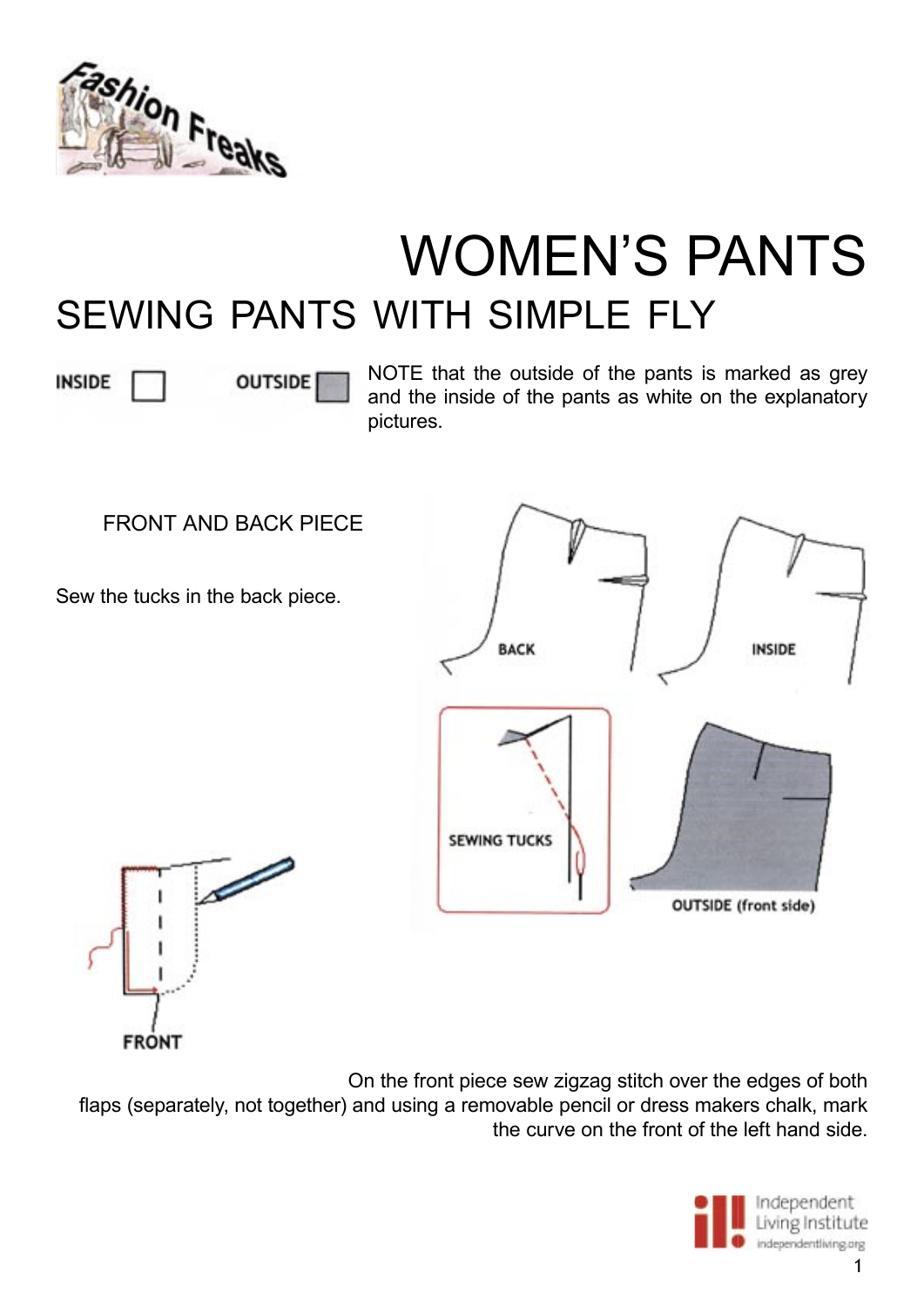

## WOMEN'S PANTS SEWING PANTS WITH SIMPLE FLY

**INSIDE** 

**OUTSIDE** 

NOTE that the outside of the pants is marked as grey and the inside of the pants as white on the explanatory pictures.

FRONT AND BACK PIECE

Sew the tucks in the back piece.





On the front piece sew zigzag stitch over the edges of both flaps (separately, not together) and using a removable pencil or dress makers chalk, mark the curve on the front of the left hand side.



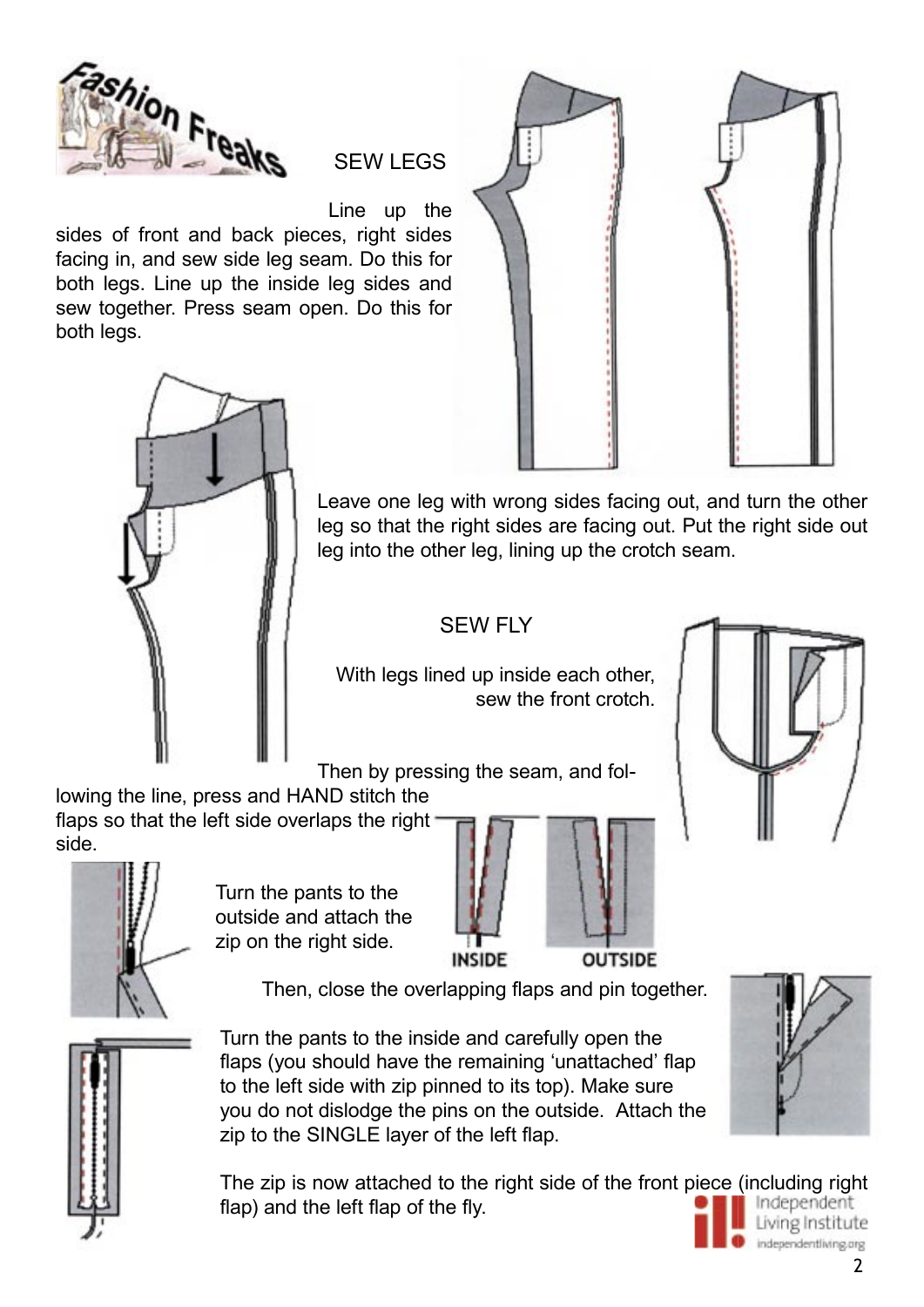

SEW LEGS

Line up the

sides of front and back pieces, right sides facing in, and sew side leg seam. Do this for both legs. Line up the inside leg sides and sew together. Press seam open. Do this for both legs.





Leave one leg with wrong sides facing out, and turn the other leg so that the right sides are facing out. Put the right side out leg into the other leg, lining up the crotch seam.

## SEW FLY

With legs lined up inside each other, sew the front crotch.

Then by pressing the seam, and fol-

lowing the line, press and HAND stitch the flaps so that the left side overlaps the right side.



Turn the pants to the outside and attach the zip on the right side.



**OUTSIDE** 

Then, close the overlapping flaps and pin together.



Turn the pants to the inside and carefully open the flaps (you should have the remaining 'unattached' flap to the left side with zip pinned to its top). Make sure you do not dislodge the pins on the outside. Attach the zip to the SINGLE layer of the left flap.

The zip is now attached to the right side of the front piece (including right Independent flap) and the left flap of the fly. Living Institute





independentliving.org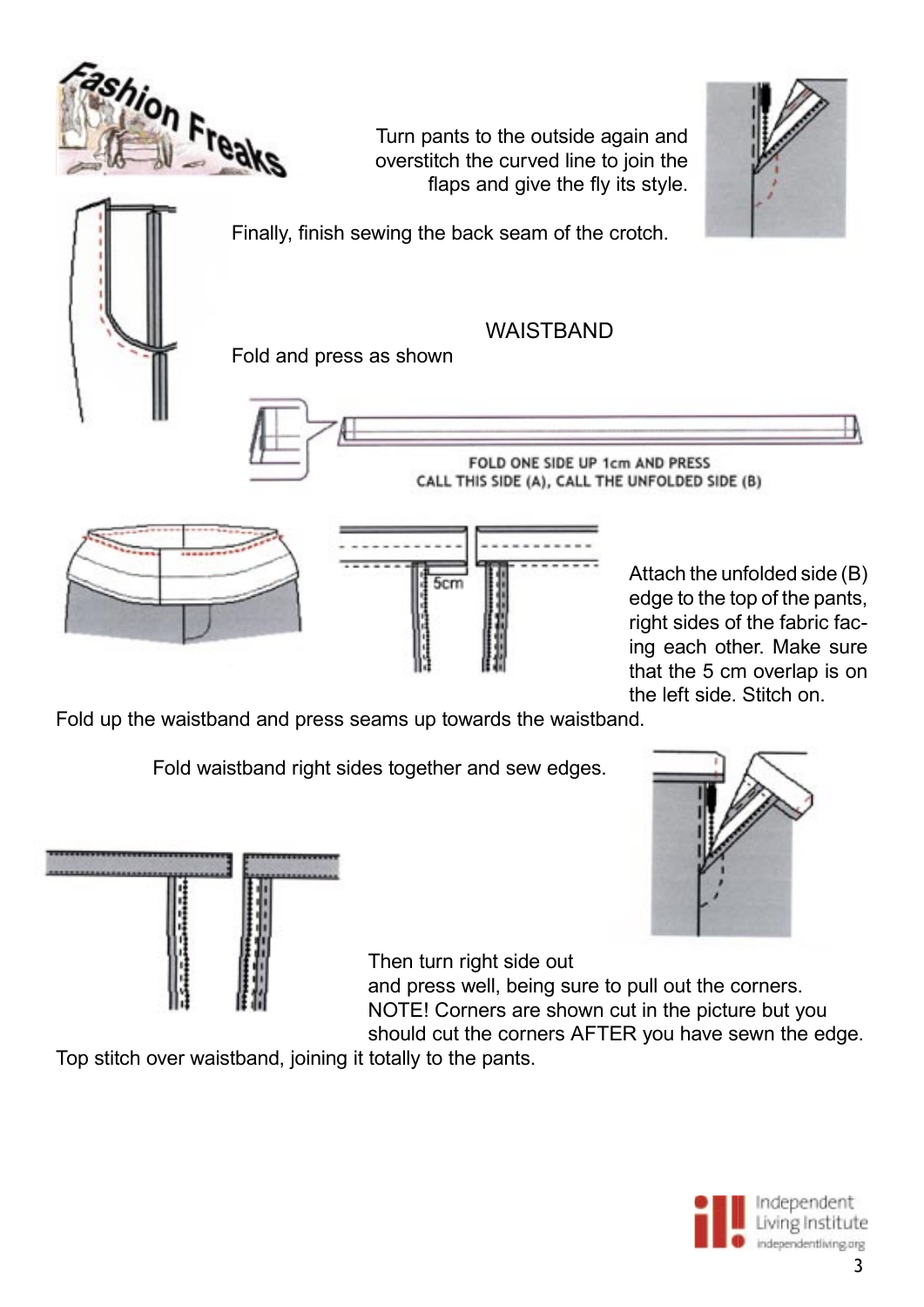

Fold up the waistband and press seams up towards the waistband.

Fold waistband right sides together and sew edges.





Then turn right side out

and press well, being sure to pull out the corners. NOTE! Corners are shown cut in the picture but you should cut the corners AFTER you have sewn the edge.

Top stitch over waistband, joining it totally to the pants.